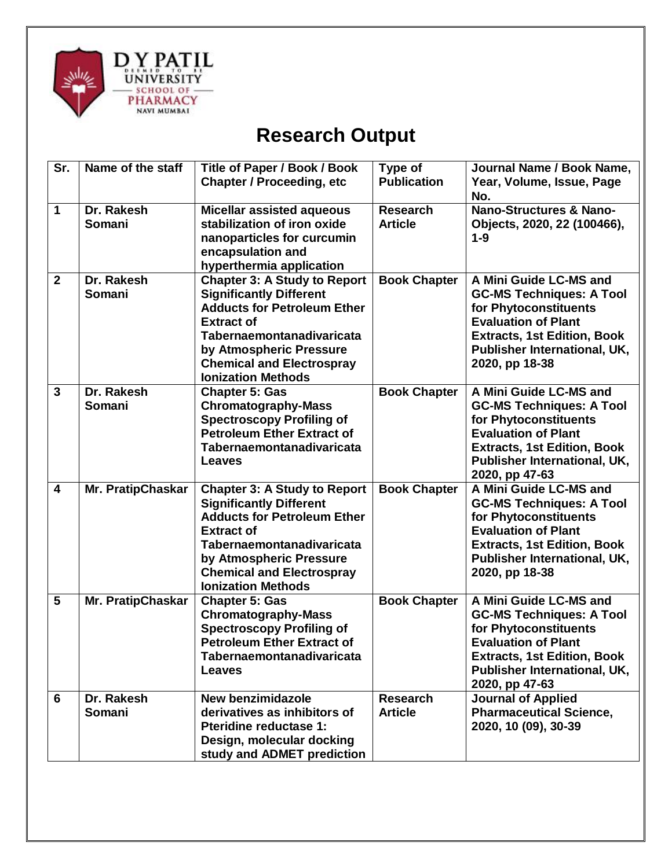

## **Research Output**

| Sr.                     | Name of the staff        | <b>Title of Paper / Book / Book</b><br><b>Chapter / Proceeding, etc</b>                                                                                                                                                                                   | Type of<br><b>Publication</b>     | Journal Name / Book Name,<br>Year, Volume, Issue, Page<br>No.                                                                                                                                            |
|-------------------------|--------------------------|-----------------------------------------------------------------------------------------------------------------------------------------------------------------------------------------------------------------------------------------------------------|-----------------------------------|----------------------------------------------------------------------------------------------------------------------------------------------------------------------------------------------------------|
| 1                       | Dr. Rakesh<br>Somani     | <b>Micellar assisted aqueous</b><br>stabilization of iron oxide<br>nanoparticles for curcumin<br>encapsulation and<br>hyperthermia application                                                                                                            | <b>Research</b><br><b>Article</b> | Nano-Structures & Nano-<br>Objects, 2020, 22 (100466),<br>$1-9$                                                                                                                                          |
| $\overline{2}$          | Dr. Rakesh<br>Somani     | <b>Chapter 3: A Study to Report</b><br><b>Significantly Different</b><br><b>Adducts for Petroleum Ether</b><br><b>Extract of</b><br>Tabernaemontanadivaricata<br>by Atmospheric Pressure<br><b>Chemical and Electrospray</b><br><b>Ionization Methods</b> | <b>Book Chapter</b>               | A Mini Guide LC-MS and<br><b>GC-MS Techniques: A Tool</b><br>for Phytoconstituents<br><b>Evaluation of Plant</b><br><b>Extracts, 1st Edition, Book</b><br>Publisher International, UK,<br>2020, pp 18-38 |
| $\overline{3}$          | Dr. Rakesh<br>Somani     | <b>Chapter 5: Gas</b><br><b>Chromatography-Mass</b><br><b>Spectroscopy Profiling of</b><br><b>Petroleum Ether Extract of</b><br>Tabernaemontanadivaricata<br><b>Leaves</b>                                                                                | <b>Book Chapter</b>               | A Mini Guide LC-MS and<br><b>GC-MS Techniques: A Tool</b><br>for Phytoconstituents<br><b>Evaluation of Plant</b><br><b>Extracts, 1st Edition, Book</b><br>Publisher International, UK,<br>2020, pp 47-63 |
| $\overline{\mathbf{4}}$ | Mr. PratipChaskar        | <b>Chapter 3: A Study to Report</b><br><b>Significantly Different</b><br><b>Adducts for Petroleum Ether</b><br><b>Extract of</b><br>Tabernaemontanadivaricata<br>by Atmospheric Pressure<br><b>Chemical and Electrospray</b><br><b>Ionization Methods</b> | <b>Book Chapter</b>               | A Mini Guide LC-MS and<br><b>GC-MS Techniques: A Tool</b><br>for Phytoconstituents<br><b>Evaluation of Plant</b><br><b>Extracts, 1st Edition, Book</b><br>Publisher International, UK,<br>2020, pp 18-38 |
| 5                       | <b>Mr. PratipChaskar</b> | <b>Chapter 5: Gas</b><br><b>Chromatography-Mass</b><br><b>Spectroscopy Profiling of</b><br><b>Petroleum Ether Extract of</b><br><b>Tabernaemontanadivaricata</b><br><b>Leaves</b>                                                                         | <b>Book Chapter</b>               | A Mini Guide LC-MS and<br><b>GC-MS Techniques: A Tool</b><br>for Phytoconstituents<br><b>Evaluation of Plant</b><br><b>Extracts, 1st Edition, Book</b><br>Publisher International, UK,<br>2020, pp 47-63 |
| 6                       | Dr. Rakesh<br>Somani     | <b>New benzimidazole</b><br>derivatives as inhibitors of<br><b>Pteridine reductase 1:</b><br>Design, molecular docking<br>study and ADMET prediction                                                                                                      | <b>Research</b><br><b>Article</b> | <b>Journal of Applied</b><br><b>Pharmaceutical Science,</b><br>2020, 10 (09), 30-39                                                                                                                      |